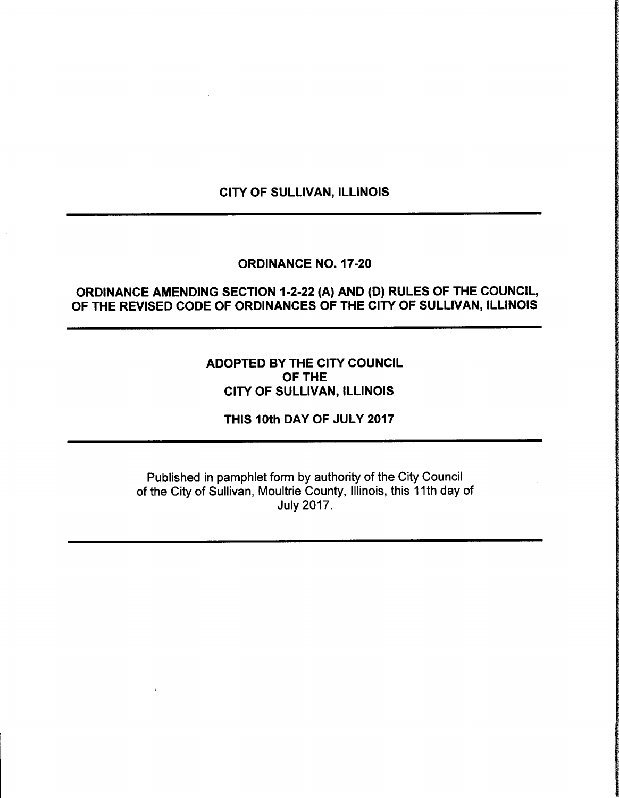## CITY OF SULLIVAN, ILLINOIS

### ORDINANCE NO. 17-20

# ORDINANCE AMENDING SECTION 1-2-22 (A) AND (D) RULES OF THE COUNCIL, OF THE REVISED CODE OF ORDINANCES OF THE CITY OF SULLIVAN, ILLINOIS

## ADOPTED BY THE CITY COUNCIL OF THE CITY OF SULLIVAN, ILLINOIS

THIS 10th DAY OF JULY 2017

Published in pamphlet form by authority of the City Council of the City of Sullivan, Moultrie County, Illinois, this 11th day of July 2017.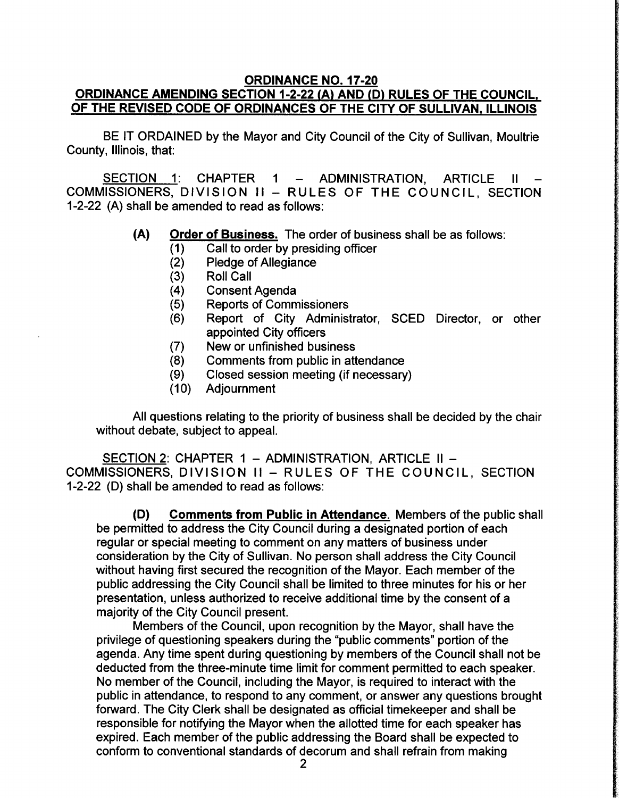#### ORDINANCE NO. 17-20 ORDINANCE AMENDING SECTION 1-2-22 (A) AND (D) RULES OF THE COUNCIL, OF THE REVISED CODE OF ORDINANCES OF THE CITY OF SULLIVAN, ILLINOIS

BE IT ORDAINED by the Mayor and City Council of the City of Sullivan, Moultrie County, Illinois, that:

SECTION 1: CHAPTER 1 - ADMINISTRATION, ARTICLE II COMMISSIONERS, DIVISION II — RULES OF THE COUNCIL, SECTION 1-2-22 (A) shall be amended to read as follows:

- A) Order of Business. The order of business shall be as follows:
	- 1) Call to order by presiding officer
	- Pledge of Allegiance
	- 3) Roll Call
	- 4) Consent Agenda
	- 5) Reports of Commissioners
	- 6) Report of City Administrator, SCED Director, or other appointed City officers
	- 7) New or unfinished business
	- 8) Comments from public in attendance
	- 9) Closed session meeting (if necessary)
	- **Adjournment**

All questions relating to the priority of business shall be decided by the chair without debate, subject to appeal.

SECTION 2: CHAPTER 1 — ADMINISTRATION, ARTICLE II — COMMISSIONERS, DIVISION II — RULES OF THE COUNCIL, SECTION 1-2-22 (D) shall be amended to read as follows:

D) Comments from Public in Attendance. Members of the public shall be permitted to address the City Council during a designated portion of each regular or special meeting to comment on any matters of business under consideration by the City of Sullivan. No person shall address the City Council without having first secured the recognition of the Mayor. Each member of the public addressing the City Council shall be limited to three minutes for his or her presentation, unless authorized to receive additional time by the consent of a majority of the City Council present.

Members of the Council, upon recognition by the Mayor, shall have the privilege of questioning speakers during the "public comments" portion of the agenda. Any time spent during questioning by members of the Council shall not be deducted from the three-minute time limit for comment permitted to each speaker. No member of the Council, including the Mayor, is required to interact with the public in attendance, to respond to any comment, or answer any questions brought forward. The City Clerk shall be designated as official timekeeper and shall be responsible for notifying the Mayor when the allotted time for each speaker has expired. Each member of the public addressing the Board shall be expected to conform to conventional standards of decorum and shall refrain from making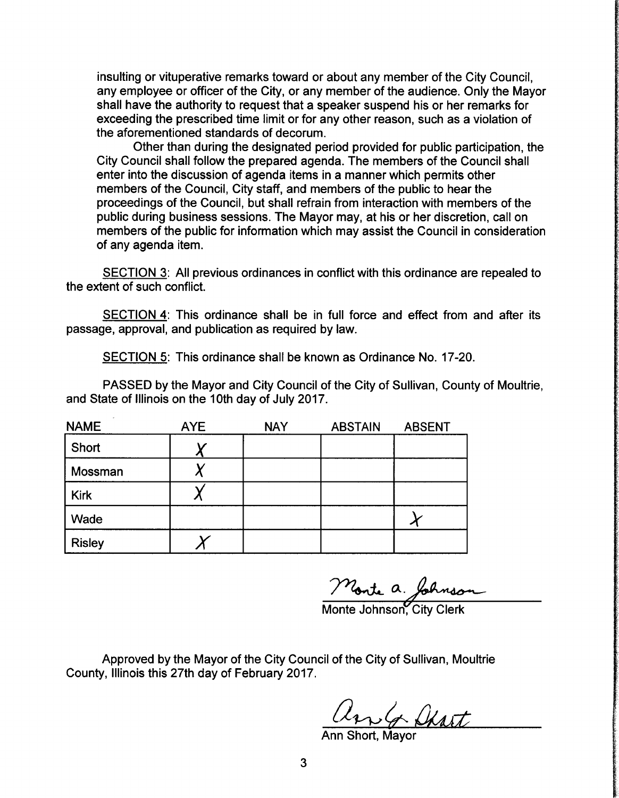insulting or vituperative remarks toward or about any member of the City Council, any employee or officer of the City, or any member of the audience. Only the Mayor shall have the authority to request that a speaker suspend his or her remarks for exceeding the prescribed time limit or for any other reason, such as a violation of the aforementioned standards of decorum.

Other than during the designated period provided for public participation, the City Council shall follow the prepared agenda. The members of the Council shall enter into the discussion of agenda items in a manner which permits other members of the Council, City staff, and members of the public to hear the proceedings of the Council, but shall refrain from interaction with members of the public during business sessions. The Mayor may, at his or her discretion, call on members of the public for information which may assist the Council in consideration of any agenda item.

SECTION 3: All previous ordinances in conflict with this ordinance are repealed to the extent of such conflict.

SECTION 4: This ordinance shall be in full force and effect from and after its passage, approval, and publication as required by law.

SECTION 5: This ordinance shall be known as Ordinance No. 17-20.

PASSED by the Mayor and City Council of the City of Sullivan, County of Moultrie, and State of Illinois on the 10th day of July 2017.

| <b>NAME</b>   | <b>AYE</b> | <b>NAY</b> | <b>ABSTAIN</b> | <b>ABSENT</b> |
|---------------|------------|------------|----------------|---------------|
| Short         |            |            |                |               |
| Mossman       |            |            |                |               |
| <b>Kirk</b>   |            |            |                |               |
| Wade          |            |            |                |               |
| <b>Risley</b> |            |            |                |               |

Monte Johnson, City Clerk

Approved by the Mayor of the City Council of the City of Sullivan, Moultrie County, Illinois this 27th day of February 2017.

Un G Shart